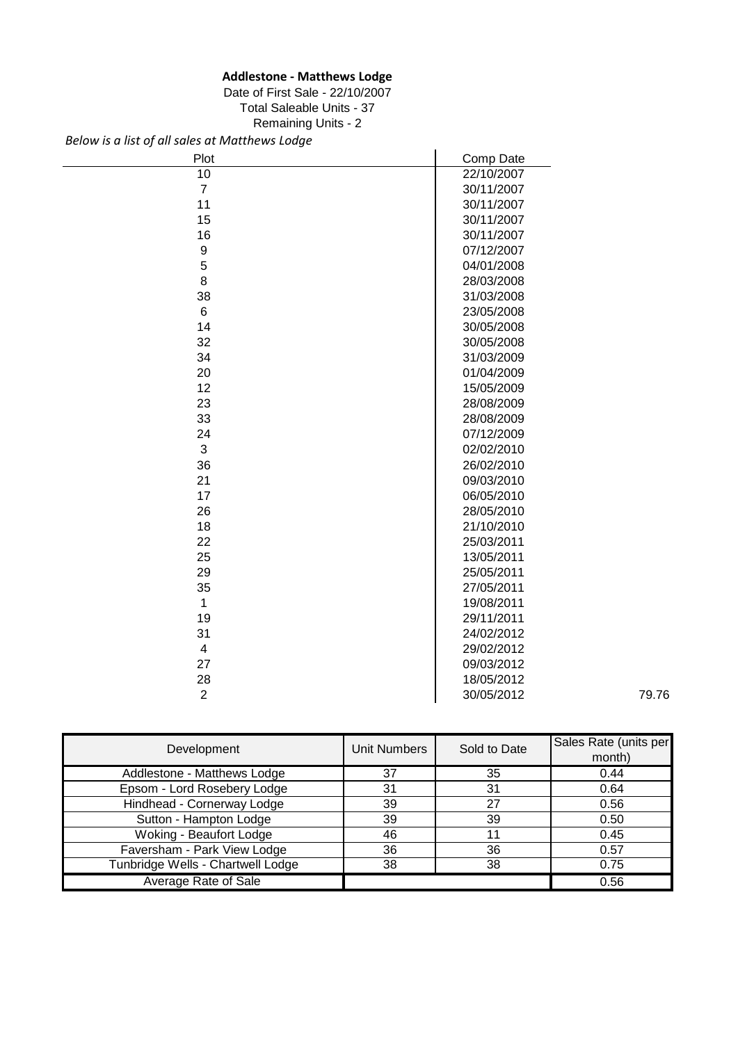## **Addlestone - Matthews Lodge**

### Date of First Sale - 22/10/2007 Total Saleable Units - 37

Remaining Units - 2

*Below is a list of all sales at Matthews Lodge*

| Plot            | Comp Date  |       |
|-----------------|------------|-------|
| $\overline{10}$ | 22/10/2007 |       |
| $\overline{7}$  | 30/11/2007 |       |
| 11              | 30/11/2007 |       |
| 15              | 30/11/2007 |       |
| 16              | 30/11/2007 |       |
| 9               | 07/12/2007 |       |
| 5               | 04/01/2008 |       |
| 8               | 28/03/2008 |       |
| 38              | 31/03/2008 |       |
| 6               | 23/05/2008 |       |
| 14              | 30/05/2008 |       |
| 32              | 30/05/2008 |       |
| 34              | 31/03/2009 |       |
| 20              | 01/04/2009 |       |
| 12              | 15/05/2009 |       |
| 23              | 28/08/2009 |       |
| 33              | 28/08/2009 |       |
| 24              | 07/12/2009 |       |
| $\mathfrak{B}$  | 02/02/2010 |       |
| 36              | 26/02/2010 |       |
| 21              | 09/03/2010 |       |
| 17              | 06/05/2010 |       |
| 26              | 28/05/2010 |       |
| 18              | 21/10/2010 |       |
| 22              | 25/03/2011 |       |
| 25              | 13/05/2011 |       |
| 29              | 25/05/2011 |       |
| 35              | 27/05/2011 |       |
| $\mathbf{1}$    | 19/08/2011 |       |
| 19              | 29/11/2011 |       |
| 31              | 24/02/2012 |       |
| 4               | 29/02/2012 |       |
| 27              | 09/03/2012 |       |
| 28              | 18/05/2012 |       |
| $\overline{2}$  | 30/05/2012 | 79.76 |

| Development                       | <b>Unit Numbers</b> | Sold to Date | Sales Rate (units per<br>month) |
|-----------------------------------|---------------------|--------------|---------------------------------|
| Addlestone - Matthews Lodge       | 37                  | 35           | 0.44                            |
| Epsom - Lord Rosebery Lodge       | 31                  | 31           | 0.64                            |
| Hindhead - Cornerway Lodge        | 39                  | 27           | 0.56                            |
| Sutton - Hampton Lodge            | 39                  | 39           | 0.50                            |
| Woking - Beaufort Lodge           | 46                  |              | 0.45                            |
| Faversham - Park View Lodge       | 36                  | 36           | 0.57                            |
| Tunbridge Wells - Chartwell Lodge | 38                  | 38           | 0.75                            |
| Average Rate of Sale              |                     |              | 0.56                            |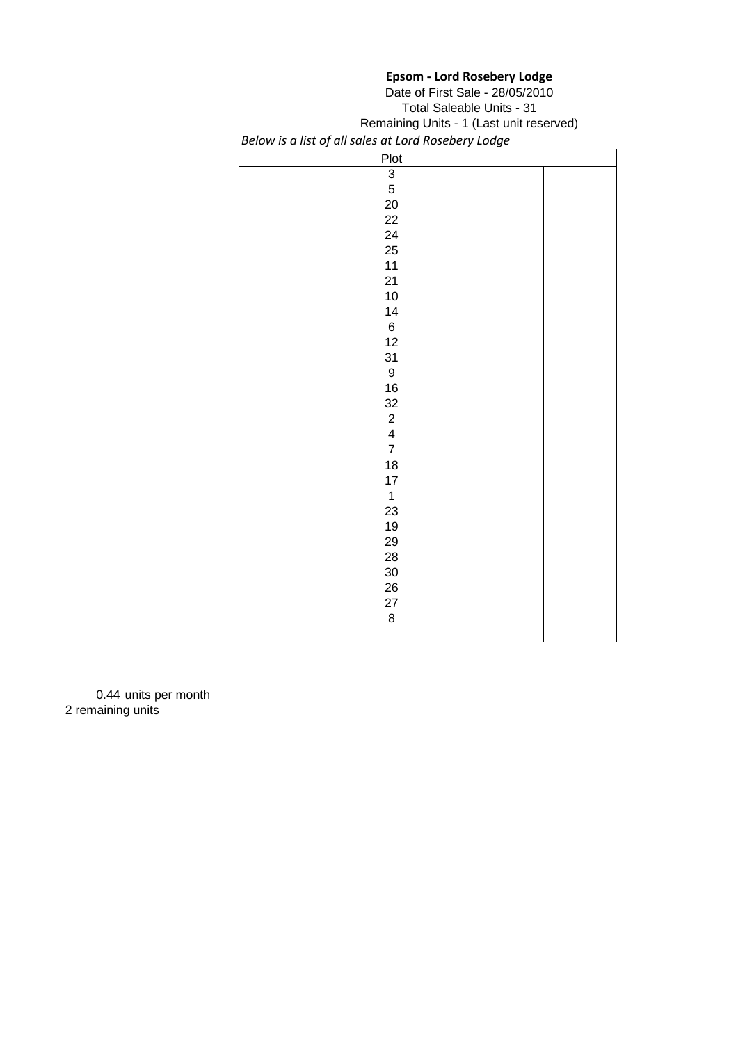## **Epsom - Lord Rosebery Lodge**

| Date of First Sale - 28/05/2010                     |  |
|-----------------------------------------------------|--|
| <b>Total Saleable Units - 31</b>                    |  |
| Remaining Units - 1 (Last unit reserved)            |  |
| Below is a list of all sales at Lord Rosebery Lodge |  |

| Plot             |  |
|------------------|--|
| $\overline{3}$   |  |
| 5                |  |
| 20               |  |
| 22               |  |
| 24               |  |
| 25               |  |
| $11$             |  |
| 21               |  |
| $10$             |  |
| 14               |  |
| $\,6$            |  |
| 12               |  |
| 31               |  |
| $\boldsymbol{9}$ |  |
| $16\,$           |  |
| 32               |  |
| $\frac{2}{4}$    |  |
|                  |  |
| $\overline{7}$   |  |
| 18               |  |
| $17\,$           |  |
| $\mathbf{1}$     |  |
| 23               |  |
| 19               |  |
| 29               |  |
| 28               |  |
| $30\,$           |  |
| 26               |  |
| 27               |  |
| $\,8\,$          |  |
|                  |  |

0.44 units per month 2 remaining units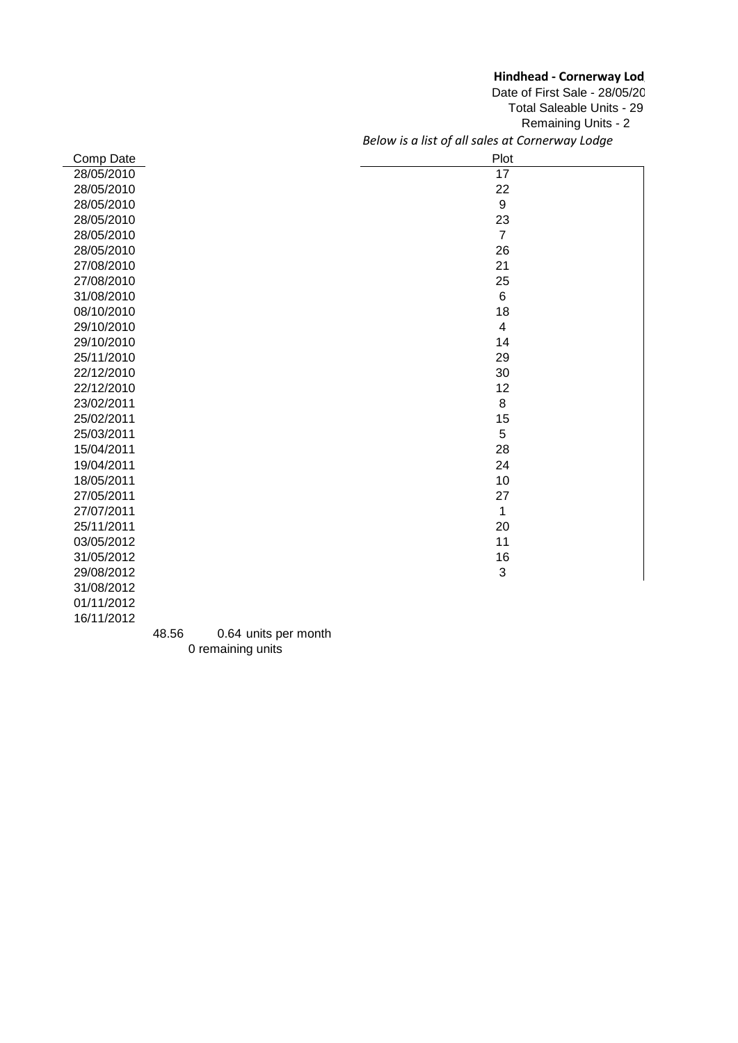### **Hindhead - Cornerway Lod**

*Below is a list of all sales at Cornerway Lodge* Date of First Sale - 28/05/20 Total Saleable Units - 29 Remaining Units - 2

| Comp Date  | Plot           |
|------------|----------------|
| 28/05/2010 | 17             |
| 28/05/2010 | 22             |
| 28/05/2010 | 9              |
| 28/05/2010 | 23             |
| 28/05/2010 | $\overline{7}$ |
| 28/05/2010 | 26             |
| 27/08/2010 | 21             |
| 27/08/2010 | 25             |
| 31/08/2010 | 6              |
| 08/10/2010 | 18             |
| 29/10/2010 | 4              |
| 29/10/2010 | 14             |
| 25/11/2010 | 29             |
| 22/12/2010 | 30             |
| 22/12/2010 | 12             |
| 23/02/2011 | 8              |
| 25/02/2011 | 15             |
| 25/03/2011 | 5              |
| 15/04/2011 | 28             |
| 19/04/2011 | 24             |
| 18/05/2011 | 10             |
| 27/05/2011 | 27             |
| 27/07/2011 | 1              |
| 25/11/2011 | 20             |
| 03/05/2012 | 11             |
| 31/05/2012 | 16             |
| 29/08/2012 | 3              |
| 31/08/2012 |                |
| 01/11/2012 |                |

48.56 0.64 units per month 0 remaining units

16/11/2012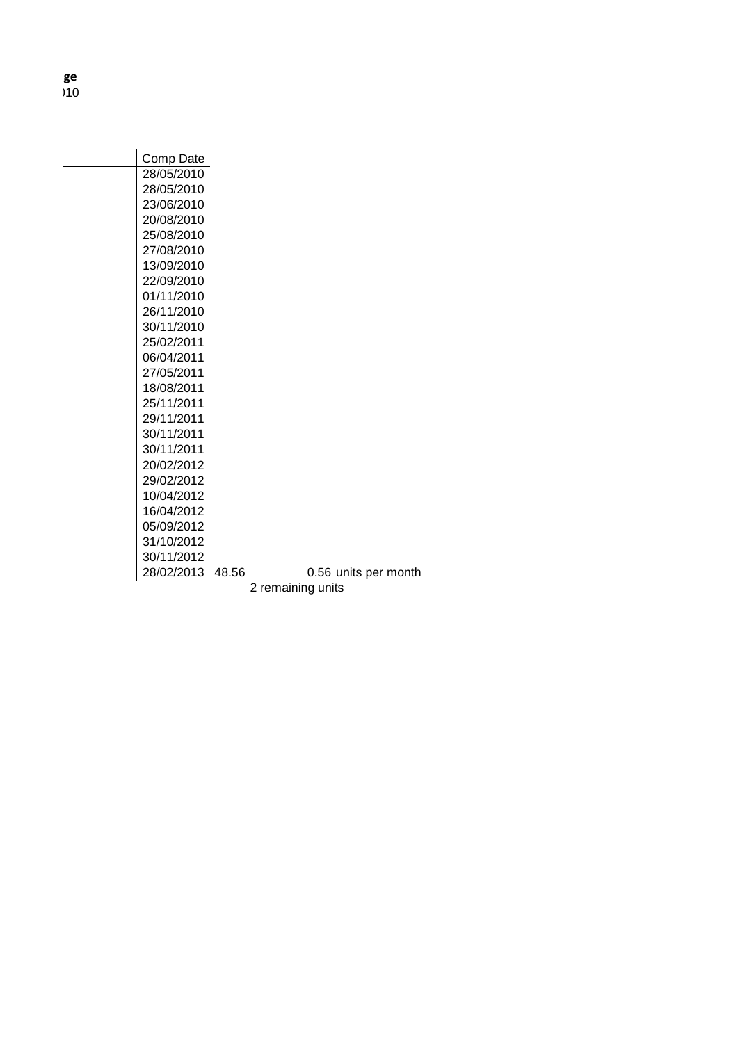**Hindhead - Cornerway Lodge**  $)10$ 

| Comp Date  |       |                   |                      |
|------------|-------|-------------------|----------------------|
| 28/05/2010 |       |                   |                      |
| 28/05/2010 |       |                   |                      |
| 23/06/2010 |       |                   |                      |
| 20/08/2010 |       |                   |                      |
| 25/08/2010 |       |                   |                      |
| 27/08/2010 |       |                   |                      |
| 13/09/2010 |       |                   |                      |
| 22/09/2010 |       |                   |                      |
| 01/11/2010 |       |                   |                      |
| 26/11/2010 |       |                   |                      |
| 30/11/2010 |       |                   |                      |
| 25/02/2011 |       |                   |                      |
| 06/04/2011 |       |                   |                      |
| 27/05/2011 |       |                   |                      |
| 18/08/2011 |       |                   |                      |
| 25/11/2011 |       |                   |                      |
| 29/11/2011 |       |                   |                      |
| 30/11/2011 |       |                   |                      |
| 30/11/2011 |       |                   |                      |
| 20/02/2012 |       |                   |                      |
| 29/02/2012 |       |                   |                      |
| 10/04/2012 |       |                   |                      |
| 16/04/2012 |       |                   |                      |
| 05/09/2012 |       |                   |                      |
| 31/10/2012 |       |                   |                      |
| 30/11/2012 |       |                   |                      |
| 28/02/2013 | 48.56 |                   | 0.56 units per month |
|            |       | 2 remaining units |                      |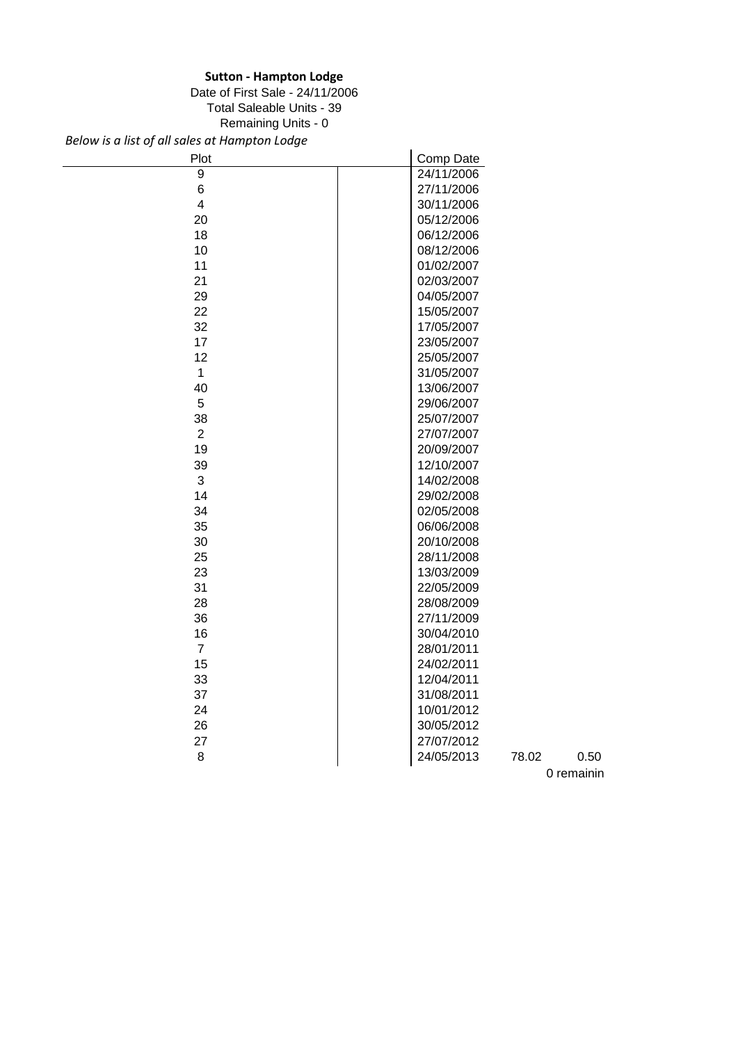## **Sutton - Hampton Lodge**

Date of First Sale - 24/11/2006

Total Saleable Units - 39

Remaining Units - 0

*Below is a list of all sales at Hampton Lodge*

| Plot                    | Comp Date                   |
|-------------------------|-----------------------------|
| $\boldsymbol{9}$        | 24/11/2006                  |
| 6                       | 27/11/2006                  |
| $\overline{\mathbf{4}}$ | 30/11/2006                  |
| 20                      | 05/12/2006                  |
| 18                      | 06/12/2006                  |
| 10                      | 08/12/2006                  |
| 11                      | 01/02/2007                  |
| 21                      | 02/03/2007                  |
| 29                      | 04/05/2007                  |
| 22                      | 15/05/2007                  |
| 32                      | 17/05/2007                  |
| 17                      | 23/05/2007                  |
| 12                      | 25/05/2007                  |
| $\mathbf 1$             | 31/05/2007                  |
| 40                      | 13/06/2007                  |
| 5                       | 29/06/2007                  |
| 38                      | 25/07/2007                  |
| $\overline{2}$          | 27/07/2007                  |
| 19                      | 20/09/2007                  |
| 39                      | 12/10/2007                  |
| 3                       | 14/02/2008                  |
| 14                      | 29/02/2008                  |
| 34                      | 02/05/2008                  |
| 35                      | 06/06/2008                  |
| 30                      | 20/10/2008                  |
| 25                      | 28/11/2008                  |
| 23                      | 13/03/2009                  |
| 31                      | 22/05/2009                  |
| 28                      | 28/08/2009                  |
| 36                      | 27/11/2009                  |
| 16                      | 30/04/2010                  |
| $\overline{7}$          | 28/01/2011                  |
| 15                      | 24/02/2011                  |
| 33                      | 12/04/2011                  |
| 37                      | 31/08/2011                  |
| 24                      | 10/01/2012                  |
| 26                      | 30/05/2012                  |
| 27                      | 27/07/2012                  |
| 8                       | 24/05/2013<br>78.02<br>0.50 |
|                         | 0 remainin                  |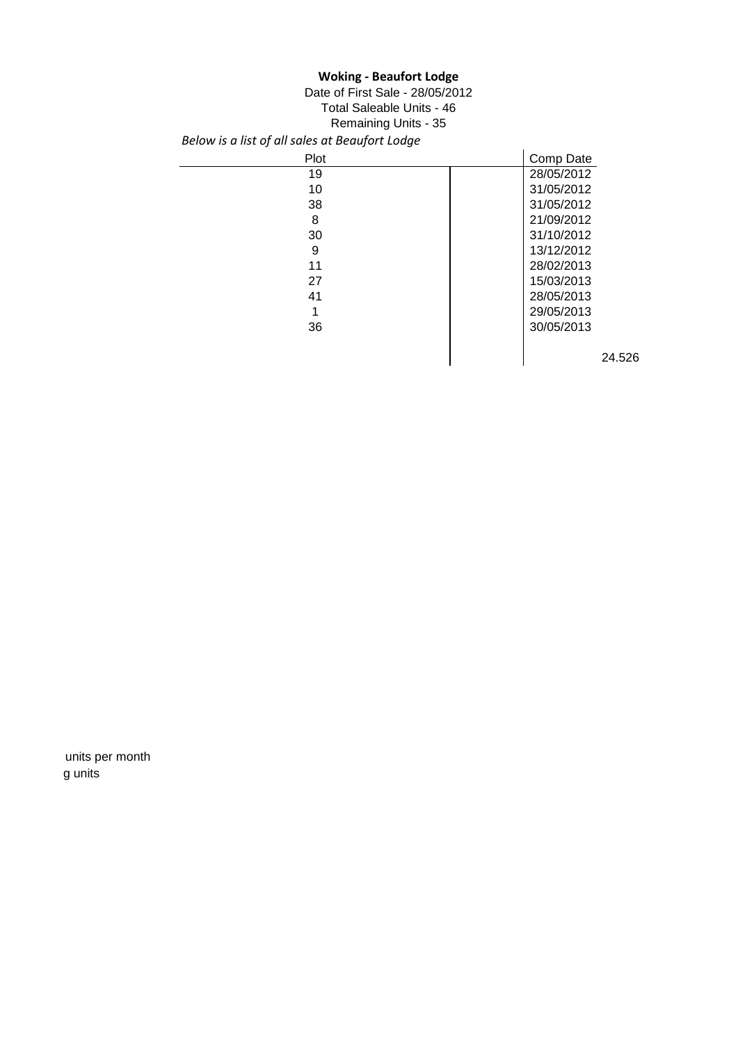## **Woking - Beaufort Lodge**

*Below is a list of all sales at Beaufort Lodge* Date of First Sale - 28/05/2012 Total Saleable Units - 46 Remaining Units - 35

| Plot | Comp Date  |
|------|------------|
| 19   | 28/05/2012 |
| 10   | 31/05/2012 |
| 38   | 31/05/2012 |
| 8    | 21/09/2012 |
| 30   | 31/10/2012 |
| 9    | 13/12/2012 |
| 11   | 28/02/2013 |
| 27   | 15/03/2013 |
| 41   | 28/05/2013 |
|      | 29/05/2013 |
| 36   | 30/05/2013 |
|      |            |
|      | 24.526     |

units per month g units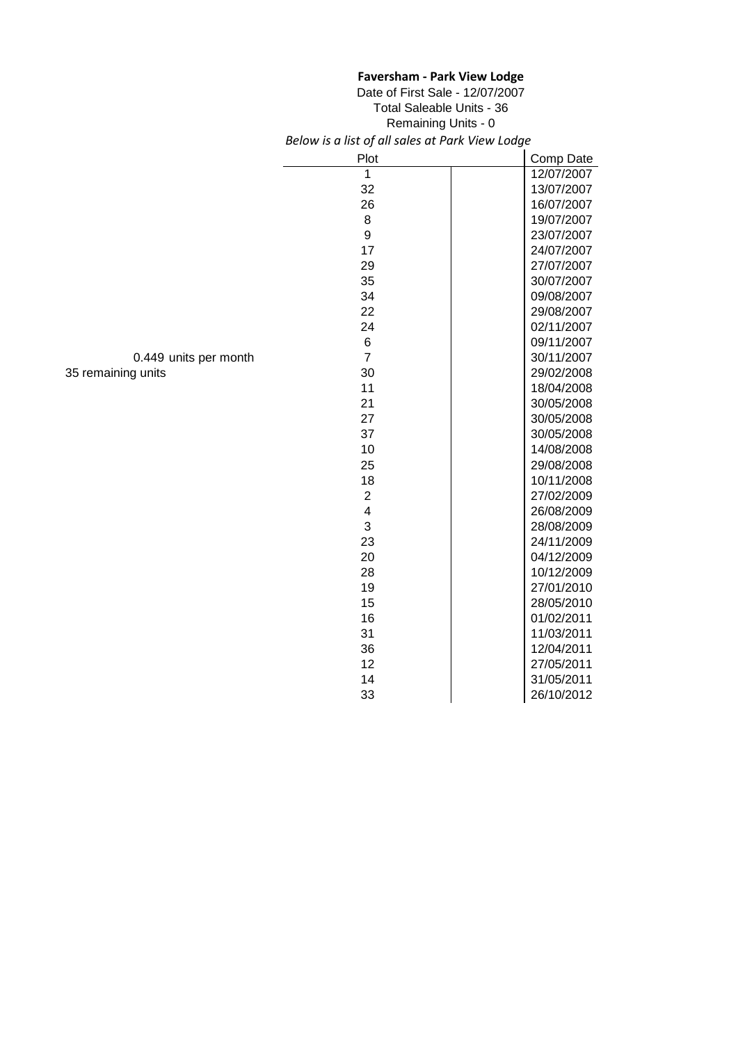|                       | <b>Faversham - Park View Lodge</b><br>Date of First Sale - 12/07/2007<br><b>Total Saleable Units - 36</b><br>Remaining Units - 0<br>Below is a list of all sales at Park View Lodge |            |  |
|-----------------------|-------------------------------------------------------------------------------------------------------------------------------------------------------------------------------------|------------|--|
|                       |                                                                                                                                                                                     |            |  |
|                       | Plot                                                                                                                                                                                | Comp Date  |  |
|                       | 1                                                                                                                                                                                   | 12/07/2007 |  |
|                       | 32                                                                                                                                                                                  | 13/07/2007 |  |
|                       | 26                                                                                                                                                                                  | 16/07/2007 |  |
|                       | 8                                                                                                                                                                                   | 19/07/2007 |  |
|                       | 9                                                                                                                                                                                   | 23/07/2007 |  |
|                       | 17                                                                                                                                                                                  | 24/07/2007 |  |
|                       | 29                                                                                                                                                                                  | 27/07/2007 |  |
|                       | 35                                                                                                                                                                                  | 30/07/2007 |  |
|                       | 34                                                                                                                                                                                  | 09/08/2007 |  |
|                       | 22                                                                                                                                                                                  | 29/08/2007 |  |
|                       | 24                                                                                                                                                                                  | 02/11/2007 |  |
|                       | $\,6$                                                                                                                                                                               | 09/11/2007 |  |
| 0.449 units per month | $\overline{7}$                                                                                                                                                                      | 30/11/2007 |  |
| 35 remaining units    | 30                                                                                                                                                                                  | 29/02/2008 |  |
|                       | 11                                                                                                                                                                                  | 18/04/2008 |  |
|                       | 21                                                                                                                                                                                  | 30/05/2008 |  |
|                       | 27                                                                                                                                                                                  | 30/05/2008 |  |
|                       | 37                                                                                                                                                                                  | 30/05/2008 |  |
|                       | 10                                                                                                                                                                                  | 14/08/2008 |  |
|                       | 25                                                                                                                                                                                  | 29/08/2008 |  |
|                       | 18                                                                                                                                                                                  | 10/11/2008 |  |
|                       | $\boldsymbol{2}$                                                                                                                                                                    | 27/02/2009 |  |
|                       | $\overline{\mathbf{4}}$                                                                                                                                                             | 26/08/2009 |  |
|                       | 3                                                                                                                                                                                   | 28/08/2009 |  |
|                       | 23                                                                                                                                                                                  | 24/11/2009 |  |
|                       | 20                                                                                                                                                                                  | 04/12/2009 |  |
|                       | 28                                                                                                                                                                                  | 10/12/2009 |  |
|                       | 19                                                                                                                                                                                  | 27/01/2010 |  |
|                       | 15                                                                                                                                                                                  | 28/05/2010 |  |
|                       | 16                                                                                                                                                                                  | 01/02/2011 |  |
|                       | 31                                                                                                                                                                                  | 11/03/2011 |  |
|                       | 36                                                                                                                                                                                  | 12/04/2011 |  |
|                       | 12                                                                                                                                                                                  | 27/05/2011 |  |
|                       |                                                                                                                                                                                     |            |  |
|                       | 14                                                                                                                                                                                  | 31/05/2011 |  |
|                       | 33                                                                                                                                                                                  | 26/10/2012 |  |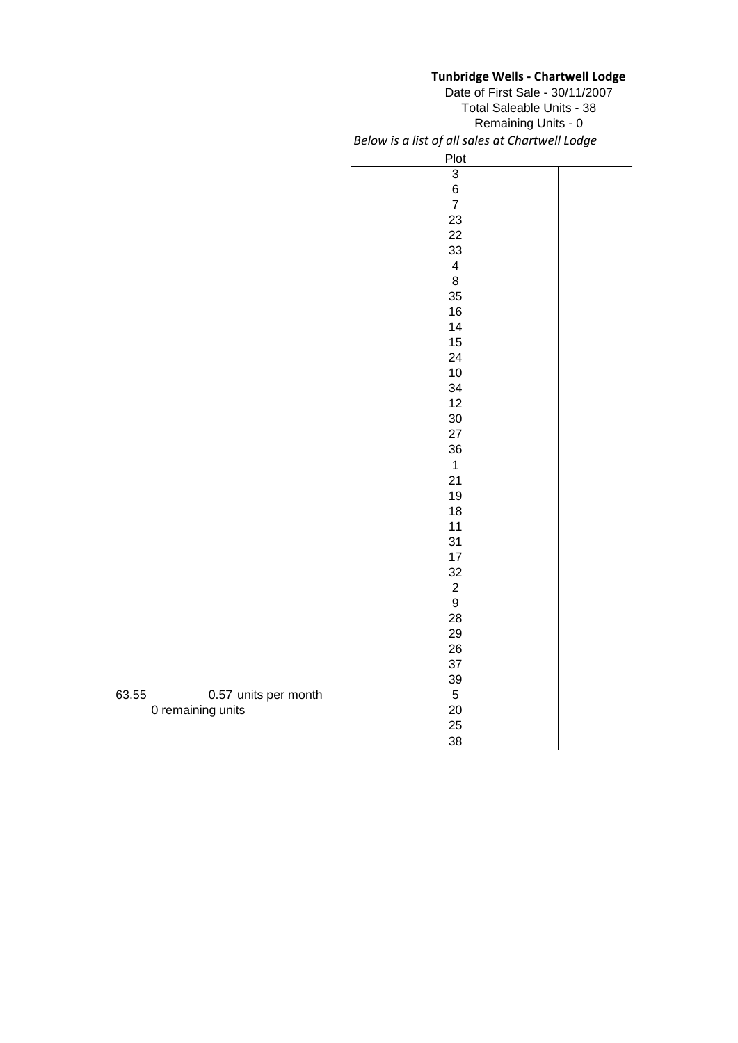# **Tunbridge Wells - Chartwell Lodge**

*Below is a list of all sales at Chartwell Lodge* Plot Date of First Sale - 30/11/2007 Remaining Units - 0 Total Saleable Units - 38

|               | <b>PIOT</b>                           |  |
|---------------|---------------------------------------|--|
|               | $\overline{3}$                        |  |
|               | $\begin{array}{c} 6 \\ 7 \end{array}$ |  |
|               |                                       |  |
|               | 23                                    |  |
|               | 22                                    |  |
|               | 33                                    |  |
|               | $\overline{\mathbf{4}}$               |  |
|               | 8                                     |  |
|               | 35                                    |  |
|               | 16                                    |  |
|               | 14                                    |  |
|               | 15                                    |  |
|               | 24                                    |  |
|               | 10                                    |  |
|               | 34                                    |  |
|               | 12                                    |  |
|               | 30                                    |  |
|               | 27                                    |  |
|               | 36                                    |  |
|               | $\mathbf{1}$                          |  |
|               | 21                                    |  |
|               | 19                                    |  |
|               | 18                                    |  |
|               | 11                                    |  |
|               | 31                                    |  |
|               | 17                                    |  |
|               | 32                                    |  |
|               |                                       |  |
|               | $\begin{array}{c} 2 \\ 9 \end{array}$ |  |
|               | 28                                    |  |
|               | 29                                    |  |
|               | 26                                    |  |
|               | 37                                    |  |
|               | 39                                    |  |
| its per month | $\,$ 5 $\,$                           |  |
|               | 20                                    |  |
|               | 25                                    |  |
|               | 38                                    |  |
|               |                                       |  |

63.55 0.57 uni 0 remaining units